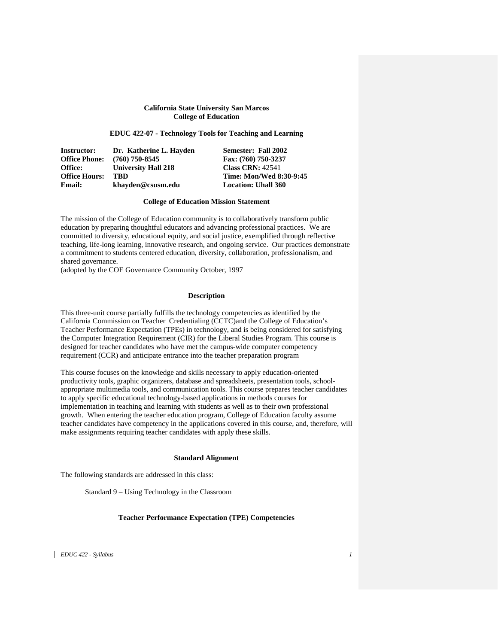# **California State University San Marcos College of Education**

# **EDUC 422-07 - Technology Tools for Teaching and Learning**

| Instructor:          | Dr. Katherine L. Havden    | Semester: Fall 2002            |
|----------------------|----------------------------|--------------------------------|
| <b>Office Phone:</b> | $(760)$ 750-8545           | Fax: (760) 750-3237            |
| Office:              | <b>University Hall 218</b> | <b>Class CRN: 42541</b>        |
| <b>Office Hours:</b> | TBD                        | <b>Time: Mon/Wed 8:30-9:45</b> |
| Email:               | khayden@csusm.edu          | <b>Location: Uhall 360</b>     |

### **College of Education Mission Statement**

The mission of the College of Education community is to collaboratively transform public education by preparing thoughtful educators and advancing professional practices. We are committed to diversity, educational equity, and social justice, exemplified through reflective teaching, life-long learning, innovative research, and ongoing service. Our practices demonstrate a commitment to students centered education, diversity, collaboration, professionalism, and shared governance.

(adopted by the COE Governance Community October, 1997

# **Description**

This three-unit course partially fulfills the technology competencies as identified by the California Commission on Teacher Credentialing (CCTC)and the College of Education's Teacher Performance Expectation (TPEs) in technology, and is being considered for satisfying the Computer Integration Requirement (CIR) for the Liberal Studies Program. This course is designed for teacher candidates who have met the campus-wide computer competency requirement (CCR) and anticipate entrance into the teacher preparation program

This course focuses on the knowledge and skills necessary to apply education-oriented productivity tools, graphic organizers, database and spreadsheets, presentation tools, schoolappropriate multimedia tools, and communication tools. This course prepares teacher candidates to apply specific educational technology-based applications in methods courses for implementation in teaching and learning with students as well as to their own professional growth. When entering the teacher education program, College of Education faculty assume teacher candidates have competency in the applications covered in this course, and, therefore, will make assignments requiring teacher candidates with apply these skills.

#### **Standard Alignment**

The following standards are addressed in this class:

Standard 9 – Using Technology in the Classroom

# **Teacher Performance Expectation (TPE) Competencies**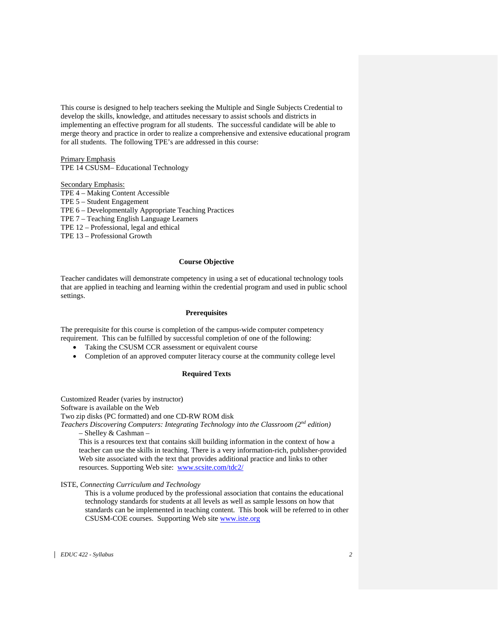This course is designed to help teachers seeking the Multiple and Single Subjects Credential to develop the skills, knowledge, and attitudes necessary to assist schools and districts in implementing an effective program for all students. The successful candidate will be able to merge theory and practice in order to realize a comprehensive and extensive educational program for all students. The following TPE's are addressed in this course:

Primary Emphasis TPE 14 CSUSM– Educational Technology

Secondary Emphasis:

TPE 4 – Making Content Accessible TPE 5 – Student Engagement TPE 6 – Developmentally Appropriate Teaching Practices TPE 7 – Teaching English Language Learners TPE 12 – Professional, legal and ethical TPE 13 – Professional Growth

# **Course Objective**

Teacher candidates will demonstrate competency in using a set of educational technology tools that are applied in teaching and learning within the credential program and used in public school settings.

# **Prerequisites**

The prerequisite for this course is completion of the campus-wide computer competency requirement. This can be fulfilled by successful completion of one of the following:

- Taking the CSUSM CCR assessment or equivalent course
- Completion of an approved computer literacy course at the community college level

# **Required Texts**

Customized Reader (varies by instructor)

Software is available on the Web

Two zip disks (PC formatted) and one CD-RW ROM disk

*Teachers Discovering Computers: Integrating Technology into the Classroom (2nd edition)*  – Shelley & Cashman –

This is a resources text that contains skill building information in the context of how a teacher can use the skills in teaching. There is a very information-rich, publisher-provided Web site associated with the text that provides additional practice and links to other resources. Supporting Web site: [www.scsite.com/tdc2/](http://www.scsite.com/tdc2/)

ISTE, *Connecting Curriculum and Technology*

This is a volume produced by the professional association that contains the educational technology standards for students at all levels as well as sample lessons on how that standards can be implemented in teaching content. This book will be referred to in other CSUSM-COE courses. Supporting Web site [www.iste.org](http://www.iste.org/)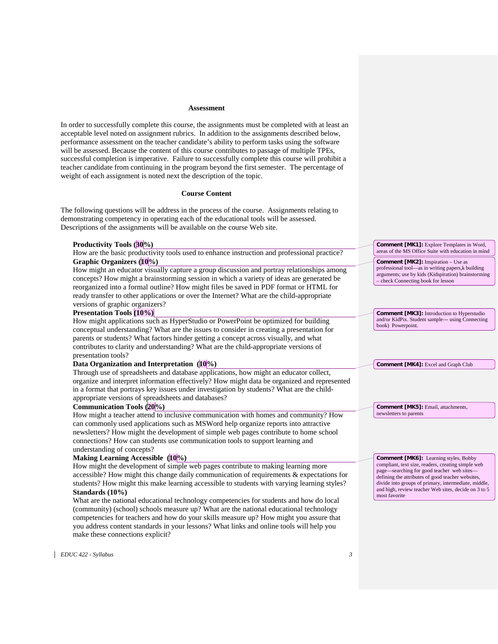# **Assessment**

In order to successfully complete this course, the assignments must be completed with at least an acceptable level noted on assignment rubrics. In addition to the assignments described below, performance assessment on the teacher candidate's ability to perform tasks using the software will be assessed. Because the content of this course contributes to passage of multiple TPEs, successful completion is imperative. Failure to successfully complete this course will prohibit a teacher candidate from continuing in the program beyond the first semester. The percentage of weight of each assignment is noted next the description of the topic.

# **Course Content**

The following questions will be address in the process of the course. Assignments relating to demonstrating competency in operating each of the educational tools will be assessed. Descriptions of the assignments will be available on the course Web site.

| Productivity Tools (30%)                                                                    | <b>Comment [MK1]:</b> Explore Templates in Word,                                                                                                                                              |
|---------------------------------------------------------------------------------------------|-----------------------------------------------------------------------------------------------------------------------------------------------------------------------------------------------|
| How are the basic productivity tools used to enhance instruction and professional practice? | areas of the MS Office Suite with education in mind                                                                                                                                           |
| Graphic Organizers (10%)                                                                    | <b>Comment [MK2]:</b> Inspiration - Use as<br>professional tool—as in writing papers, k building<br>arguments; use by kids (Kidspiration) brainstorming<br>- check Connecting book for lesson |
| How might an educator visually capture a group discussion and portray relationships among   |                                                                                                                                                                                               |
| concepts? How might a brainstorming session in which a variety of ideas are generated be    |                                                                                                                                                                                               |
| reorganized into a formal outline? How might files be saved in PDF format or HTML for       |                                                                                                                                                                                               |
| ready transfer to other applications or over the Internet? What are the child-appropriate   |                                                                                                                                                                                               |
| versions of graphic organizers?                                                             |                                                                                                                                                                                               |
| <b>Presentation Tools (10%)</b>                                                             | <b>Comment [MK3]:</b> Introduction to Hyperstudio<br>and/or KidPix. Student sample--- using Connecting<br>book) Powerpoint.                                                                   |
| How might applications such as HyperStudio or PowerPoint be optimized for building          |                                                                                                                                                                                               |
| conceptual understanding? What are the issues to consider in creating a presentation for    |                                                                                                                                                                                               |
| parents or students? What factors hinder getting a concept across visually, and what        |                                                                                                                                                                                               |
| contributes to clarity and understanding? What are the child-appropriate versions of        |                                                                                                                                                                                               |
| presentation tools?                                                                         |                                                                                                                                                                                               |
| Data Organization and Interpretation (10%)                                                  | Comment [MK4]: Excel and Graph Club                                                                                                                                                           |
| Through use of spreadsheets and database applications, how might an educator collect,       |                                                                                                                                                                                               |
| organize and interpret information effectively? How might data be organized and represented |                                                                                                                                                                                               |
| in a format that portrays key issues under investigation by students? What are the child-   |                                                                                                                                                                                               |
| appropriate versions of spreadsheets and databases?                                         |                                                                                                                                                                                               |
| Communication Tools (20%)                                                                   | Comment [MK5]: Email, attachments,                                                                                                                                                            |
| How might a teacher attend to inclusive communication with homes and community? How         | newsletters to parents                                                                                                                                                                        |
| can commonly used applications such as MSWord help organize reports into attractive         |                                                                                                                                                                                               |
| newsletters? How might the development of simple web pages contribute to home school        |                                                                                                                                                                                               |
| connections? How can students use communication tools to support learning and               |                                                                                                                                                                                               |
| understanding of concepts?                                                                  |                                                                                                                                                                                               |
| Making Learning Accessible (10%)                                                            | <b>Comment [MK6]:</b> Learning styles, Bobby                                                                                                                                                  |
| How might the development of simple web pages contribute to making learning more            | compliant, text size, readers, creating simple web<br>page—searching for good teacher web sites—                                                                                              |
| accessible? How might this change daily communication of requirements & expectations for    | defining the attributes of good teacher websites,                                                                                                                                             |
| students? How might this make learning accessible to students with varying learning styles? | divide into groups of primary, intermediate, middle,                                                                                                                                          |
| Standards $(10\%)$                                                                          | and high, review teacher Web sites, decide on 3 to 5<br>most favorite                                                                                                                         |
| What are the national educational technology competencies for students and how do local     |                                                                                                                                                                                               |
| (community) (school) schools measure up? What are the national educational technology       |                                                                                                                                                                                               |
| competencies for teachers and how do your skills measure up? How might you assure that      |                                                                                                                                                                                               |
| you address content standards in your lessons? What links and online tools will help you    |                                                                                                                                                                                               |
| make these connections explicit?                                                            |                                                                                                                                                                                               |
|                                                                                             |                                                                                                                                                                                               |